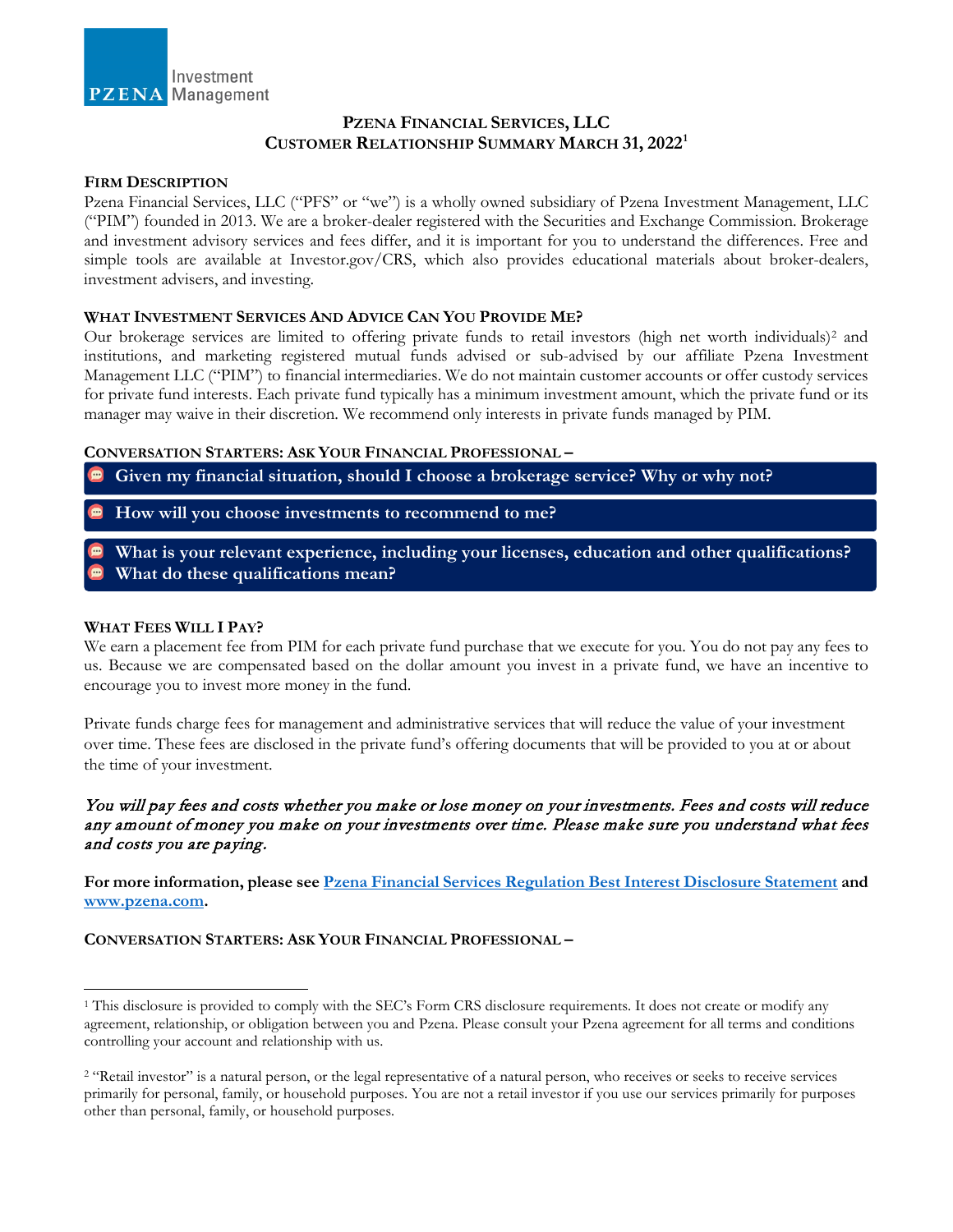

# **PZENA FINANCIAL SERVICES, LLC CUSTOMER RELATIONSHIP SUMMARY MARCH 31, 2022[1](#page-1-0)**

## **FIRM DESCRIPTION**

Pzena Financial Services, LLC ("PFS" or "we") is a wholly owned subsidiary of Pzena Investment Management, LLC ("PIM") founded in 2013. We are a broker-dealer registered with the Securities and Exchange Commission. Brokerage and investment advisory services and fees differ, and it is important for you to understand the differences. Free and simple tools are available at Investor.gov/CRS, which also provides educational materials about broker-dealers, investment advisers, and investing.

## **WHAT INVESTMENT SERVICES AND ADVICE CAN YOU PROVIDE ME?**

Our brokerage services are limited to offering private funds to retail investors (high net worth individuals)<sup>2</sup> and institutions, and marketing registered mutual funds advised or sub-advised by our affiliate Pzena Investment Management LLC ("PIM") to financial intermediaries. We do not maintain customer accounts or offer custody services for private fund interests. Each private fund typically has a minimum investment amount, which the private fund or its manager may waive in their discretion. We recommend only interests in private funds managed by PIM.

## **CONVERSATION STARTERS: ASK YOUR FINANCIAL PROFESSIONAL –**

**Given my financial situation, should I choose a brokerage service? Why or why not?**

- **How will you choose investments to recommend to me?**
- **What is your relevant experience, including your licenses, education and other qualifications? What do these qualifications mean?**

# **WHAT FEES WILL I PAY?**

 $\overline{a}$ 

We earn a placement fee from PIM for each private fund purchase that we execute for you. You do not pay any fees to us. Because we are compensated based on the dollar amount you invest in a private fund, we have an incentive to encourage you to invest more money in the fund.

Private funds charge fees for management and administrative services that will reduce the value of your investment over time. These fees are disclosed in the private fund's offering documents that will be provided to you at or about the time of your investment.

# You will pay fees and costs whether you make or lose money on your investments. Fees and costs will reduce any amount of money you make on your investments over time. Please make sure you understand what fees and costs you are paying.

**For more information, please see Pzena Financial Services [Regulation Best Interest Disclosure](https://www.pzena.com/wp-content/uploads/2022/04/PFS-Reg-BI-disclosures-3-31-2022.pdf) Statement and [www.pzena.com.](https://www.pzena.com/)**

## **CONVERSATION STARTERS: ASK YOUR FINANCIAL PROFESSIONAL –**

<sup>1</sup> This disclosure is provided to comply with the SEC's Form CRS disclosure requirements. It does not create or modify any agreement, relationship, or obligation between you and Pzena. Please consult your Pzena agreement for all terms and conditions controlling your account and relationship with us.

<span id="page-0-0"></span><sup>&</sup>lt;sup>2</sup> "Retail investor" is a natural person, or the legal representative of a natural person, who receives or seeks to receive services primarily for personal, family, or household purposes. You are not a retail investor if you use our services primarily for purposes other than personal, family, or household purposes*.*